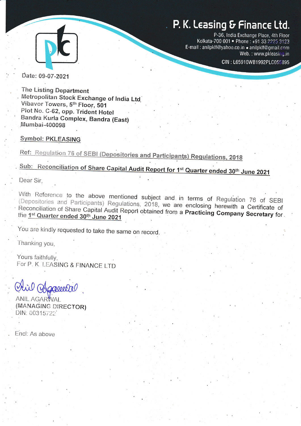# P. K. Leasing & Finance Ltd.



P-36, India Exchange Place, 4th Floor Kolkata-700 001 . Phone: +91 33 2225 3123 E-mail: anilpklf@yahoo.co.in . anilpklf@gmail.com Web.: www.pkleasing.in

CIN: L65910WB1992PLC055895

Date: 09-07-2021

**The Listing Department** Metropolitan Stock Exchange of India Ltd Vibavor Towers, 5th Floor, 501 Plot No. C-62, opp. Trident Hotel Bandra Kurla Complex, Bandra (East) Mumbai-400098

### **Symbol: PKLEASING**

Ref: Regulation 76 of SEBI (Depositories and Participants) Regulations, 2018

Sub: Reconciliation of Share Capital Audit Report for 1st Quarter ended 30th June 2021

Dear Sir.

With Reference to the above mentioned subject and in terms of Regulation 76 of SEBI (Depositories and Participants) Regulations, 2018, we are enclosing herewith a Certificate of Reconciliation of Share Capital Audit Report obtained from a Practicing Company Secretary for the 1st Quarter ended 30th June 2021

You are kindly requested to take the same on record.

Thanking you,

Yours faithfully, For P. K. LEASING & FINANCE LTD

Magooretre

ANIL AGARWAI (MANAGING DIRECTOR) DIN: 00315722

Encl: As above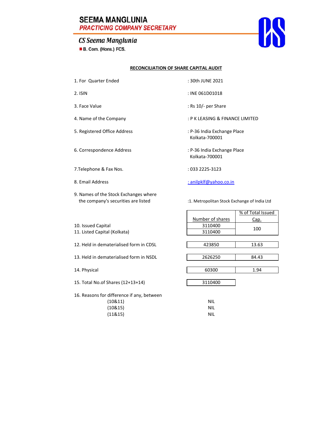## **SEEMA MANGLUNIA PRACTICING COMPANY SECRETARY**

## CS Seema Manglunia

B. Com. (Hons.) FCS.



#### **RECONCILIATION OF SHARE CAPITAL AUDIT**

- 1. For Quarter Ended 30th JUNE 2021
- 
- 
- 
- 5. Registered Office Address : P‐36 India Exchange Place
- 
- 7.Telephone & Fax Nos. : 033 2225-3123
- 
- 9. Names of the Stock Exchanges where the company's securities are listed :1. Metropolitan Stock Exchange of India Ltd
- 
- 2. ISIN : INE 061D01018
- 3. Face Value : Rs 10/‐ per Share
- 4. Name of the Company  $\cdot$  P K LEASING & FINANCE LIMITED
	- Kolkata‐700001
- 6. Correspondence Address : P‐36 India Exchange Place Kolkata‐700001
	-

8. Email Address : anilog and a state of the state of the state of the state of the state of the state of the state of the state of the state of the state of the state of the state of the state of the state of the state of

|                                            |                  | % of Total Issued |
|--------------------------------------------|------------------|-------------------|
|                                            | Number of shares | Cap.              |
| 10. Issued Capital                         | 3110400          | 100               |
| 11. Listed Capital (Kolkata)               | 3110400          |                   |
|                                            |                  |                   |
| 12. Held in dematerialised form in CDSL    | 423850           | 13.63             |
|                                            |                  |                   |
| 13. Held in dematerialised form in NSDL    | 2626250          | 84.43             |
|                                            |                  |                   |
| 14. Physical                               | 60300            | 1.94              |
|                                            |                  |                   |
| 15. Total No.of Shares (12+13+14)          | 3110400          |                   |
| 16. Reasons for difference if any, between |                  |                   |
| (10811)                                    | <b>NIL</b>       |                   |
| (10&15)                                    | <b>NIL</b>       |                   |
| (11&15)                                    | <b>NIL</b>       |                   |